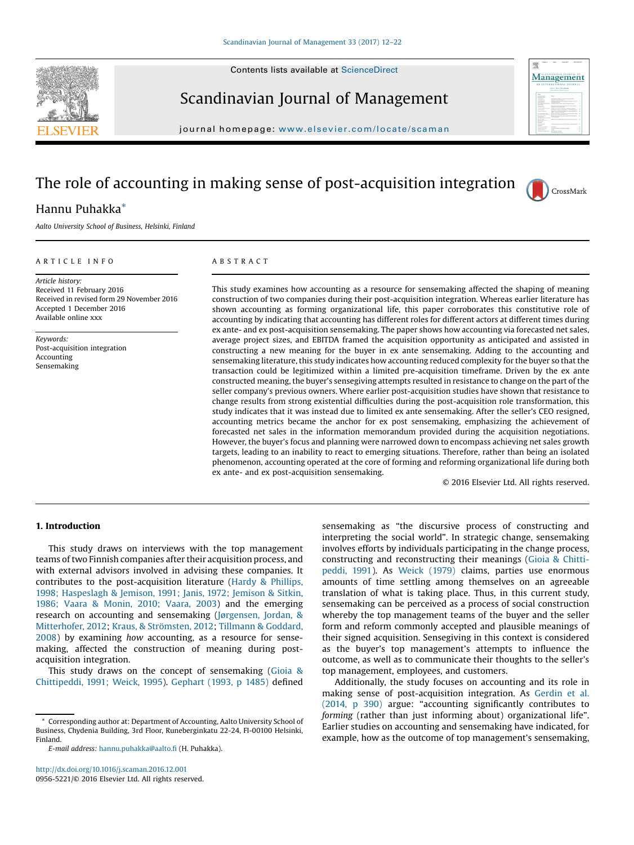



# Scandinavian Journal of Management

journal homepage: <www.elsevier.com/locate/scaman>

# The role of accounting in making sense of post-acquisition integration



# Hannu Puhakka\*

Aalto University School of Business, Helsinki, Finland

## A R T I C L E I N F O

Article history: Received 11 February 2016 Received in revised form 29 November 2016 Accepted 1 December 2016 Available online xxx

Keywords: Post-acquisition integration Accounting Sensemaking

# A B S T R A C T

This study examines how accounting as a resource for sensemaking affected the shaping of meaning construction of two companies during their post-acquisition integration. Whereas earlier literature has shown accounting as forming organizational life, this paper corroborates this constitutive role of accounting by indicating that accounting has different roles for different actors at different times during ex ante- and ex post-acquisition sensemaking. The paper shows how accounting via forecasted net sales, average project sizes, and EBITDA framed the acquisition opportunity as anticipated and assisted in constructing a new meaning for the buyer in ex ante sensemaking. Adding to the accounting and sensemaking literature, this study indicates how accounting reduced complexity for the buyer so that the transaction could be legitimized within a limited pre-acquisition timeframe. Driven by the ex ante constructed meaning, the buyer's sensegiving attempts resulted in resistance to change on the part of the seller company's previous owners. Where earlier post-acquisition studies have shown that resistance to change results from strong existential difficulties during the post-acquisition role transformation, this study indicates that it was instead due to limited ex ante sensemaking. After the seller's CEO resigned, accounting metrics became the anchor for ex post sensemaking, emphasizing the achievement of forecasted net sales in the information memorandum provided during the acquisition negotiations. However, the buyer's focus and planning were narrowed down to encompass achieving net sales growth targets, leading to an inability to react to emerging situations. Therefore, rather than being an isolated phenomenon, accounting operated at the core of forming and reforming organizational life during both ex ante- and ex post-acquisition sensemaking.

© 2016 Elsevier Ltd. All rights reserved.

# 1. Introduction

This study draws on interviews with the top management teams of two Finnish companies after their acquisition process, and with external advisors involved in advising these companies. It contributes to the post-acquisition literature (Hardy & [Phillips,](#page-9-0) 1998; [Haspeslagh](#page-9-0) & Jemison, 1991; Janis, 1972; Jemison & Sitkin, 1986; Vaara & [Monin,](#page-9-0) 2010; Vaara, 2003) and the emerging research on accounting and sensemaking ([Jørgensen,](#page-9-0) Jordan, & [Mitterhofer,](#page-9-0) 2012; Kraus, & [Strömsten,](#page-9-0) 2012; Tillmann & [Goddard,](#page-10-0) [2008](#page-10-0)) by examining how accounting, as a resource for sensemaking, affected the construction of meaning during postacquisition integration.

This study draws on the concept of sensemaking ([Gioia](#page-9-0) & [Chittipeddi,](#page-9-0) 1991; Weick, 1995). [Gephart](#page-9-0) (1993, p 1485) defined

<http://dx.doi.org/10.1016/j.scaman.2016.12.001> 0956-5221/© 2016 Elsevier Ltd. All rights reserved. sensemaking as "the discursive process of constructing and interpreting the social world". In strategic change, sensemaking involves efforts by individuals participating in the change process, constructing and reconstructing their meanings (Gioia & [Chitti](#page-9-0)[peddi,](#page-9-0) 1991). As Weick [\(1979\)](#page-10-0) claims, parties use enormous amounts of time settling among themselves on an agreeable translation of what is taking place. Thus, in this current study, sensemaking can be perceived as a process of social construction whereby the top management teams of the buyer and the seller form and reform commonly accepted and plausible meanings of their signed acquisition. Sensegiving in this context is considered as the buyer's top management's attempts to influence the outcome, as well as to communicate their thoughts to the seller's top management, employees, and customers.

Additionally, the study focuses on accounting and its role in making sense of post-acquisition integration. As [Gerdin](#page-9-0) et al. [\(2014,](#page-9-0) p 390) argue: "accounting significantly contributes to forming (rather than just informing about) organizational life". Earlier studies on accounting and sensemaking have indicated, for example, how as the outcome of top management's sensemaking,

<sup>\*</sup> Corresponding author at: Department of Accounting, Aalto University School of Business, Chydenia Building, 3rd Floor, Runeberginkatu 22-24, FI-00100 Helsinki, Finland.

E-mail address: [hannu.puhakka@aalto.](mailto:hannu.puhakka@aalto.fi)fi (H. Puhakka).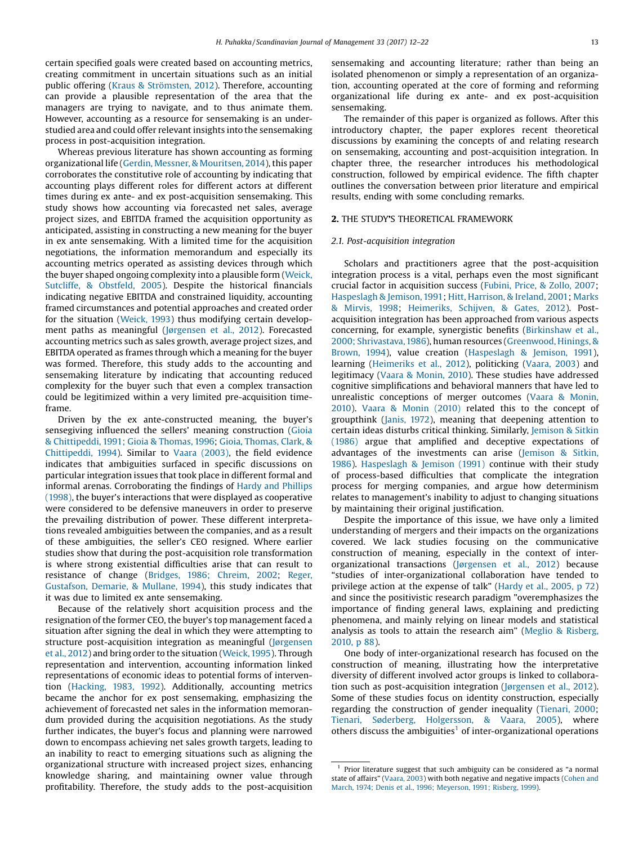certain specified goals were created based on accounting metrics, creating commitment in uncertain situations such as an initial public offering (Kraus & [Strömsten,](#page-9-0) 2012). Therefore, accounting can provide a plausible representation of the area that the managers are trying to navigate, and to thus animate them. However, accounting as a resource for sensemaking is an understudied area and could offer relevant insights into the sensemaking process in post-acquisition integration.

Whereas previous literature has shown accounting as forming organizational life (Gerdin, Messner, & [Mouritsen,](#page-9-0) 2014), this paper corroborates the constitutive role of accounting by indicating that accounting plays different roles for different actors at different times during ex ante- and ex post-acquisition sensemaking. This study shows how accounting via forecasted net sales, average project sizes, and EBITDA framed the acquisition opportunity as anticipated, assisting in constructing a new meaning for the buyer in ex ante sensemaking. With a limited time for the acquisition negotiations, the information memorandum and especially its accounting metrics operated as assisting devices through which the buyer shaped ongoing complexity into a plausible form ([Weick,](#page-10-0) Sutcliffe, & [Obstfeld,](#page-10-0) 2005). Despite the historical financials indicating negative EBITDA and constrained liquidity, accounting framed circumstances and potential approaches and created order for the situation [\(Weick,](#page-10-0) 1993) thus modifying certain development paths as meaningful ([Jørgensen](#page-9-0) et al., 2012). Forecasted accounting metrics such as sales growth, average project sizes, and EBITDA operated as frames through which a meaning for the buyer was formed. Therefore, this study adds to the accounting and sensemaking literature by indicating that accounting reduced complexity for the buyer such that even a complex transaction could be legitimized within a very limited pre-acquisition timeframe.

Driven by the ex ante-constructed meaning, the buyer's sensegiving influenced the sellers' meaning construction ([Gioia](#page-9-0) & [Chittipeddi,](#page-9-0) 1991; Gioia & Thomas, 1996; Gioia, [Thomas,](#page-9-0) Clark, & [Chittipeddi,](#page-9-0) 1994). Similar to Vaara [\(2003\)](#page-10-0), the field evidence indicates that ambiguities surfaced in specific discussions on particular integration issues that took place in different formal and informal arenas. Corroborating the findings of Hardy and [Phillips](#page-9-0) [\(1998\)](#page-9-0), the buyer's interactions that were displayed as cooperative were considered to be defensive maneuvers in order to preserve the prevailing distribution of power. These different interpretations revealed ambiguities between the companies, and as a result of these ambiguities, the seller's CEO resigned. Where earlier studies show that during the post-acquisition role transformation is where strong existential difficulties arise that can result to resistance of change [\(Bridges,](#page-9-0) 1986; Chreim, 2002; [Reger,](#page-9-0) [Gustafson,](#page-9-0) Demarie, & Mullane, 1994), this study indicates that it was due to limited ex ante sensemaking.

Because of the relatively short acquisition process and the resignation of the former CEO, the buyer's top management faced a situation after signing the deal in which they were attempting to structure post-acquisition integration as meaningful [\(Jørgensen](#page-9-0) et al., [2012](#page-9-0)) and bring order to the situation [\(Weick, 1995\)](#page-10-0). Through representation and intervention, accounting information linked representations of economic ideas to potential forms of intervention [\(Hacking,](#page-9-0) 1983, 1992). Additionally, accounting metrics became the anchor for ex post sensemaking, emphasizing the achievement of forecasted net sales in the information memorandum provided during the acquisition negotiations. As the study further indicates, the buyer's focus and planning were narrowed down to encompass achieving net sales growth targets, leading to an inability to react to emerging situations such as aligning the organizational structure with increased project sizes, enhancing knowledge sharing, and maintaining owner value through profitability. Therefore, the study adds to the post-acquisition sensemaking and accounting literature; rather than being an isolated phenomenon or simply a representation of an organization, accounting operated at the core of forming and reforming organizational life during ex ante- and ex post-acquisition sensemaking.

The remainder of this paper is organized as follows. After this introductory chapter, the paper explores recent theoretical discussions by examining the concepts of and relating research on sensemaking, accounting and post-acquisition integration. In chapter three, the researcher introduces his methodological construction, followed by empirical evidence. The fifth chapter outlines the conversation between prior literature and empirical results, ending with some concluding remarks.

#### 2. THE STUDY'S THEORETICAL FRAMEWORK

#### 2.1. Post-acquisition integration

Scholars and practitioners agree that the post-acquisition integration process is a vital, perhaps even the most significant crucial factor in acquisition success ([Fubini,](#page-9-0) Price, & Zollo, 2007; Haspeslagh & [Jemison,1991](#page-9-0); Hitt, [Harrison,](#page-9-0) & Ireland, 2001; [Marks](#page-9-0) & [Mirvis,](#page-9-0) 1998; [Heimeriks,](#page-9-0) Schijven, & Gates, 2012). Postacquisition integration has been approached from various aspects concerning, for example, synergistic benefits [\(Birkinshaw](#page-9-0) et al., 2000; [Shrivastava,1986](#page-9-0)), human resources ([Greenwood,](#page-9-0) Hinings, & [Brown,](#page-9-0) 1994), value creation [\(Haspeslagh](#page-9-0) & Jemison, 1991), learning ([Heimeriks](#page-9-0) et al., 2012), politicking [\(Vaara,](#page-10-0) 2003) and legitimacy (Vaara & [Monin,](#page-10-0) 2010). These studies have addressed cognitive simplifications and behavioral manners that have led to unrealistic conceptions of merger outcomes (Vaara & [Monin,](#page-10-0) [2010](#page-10-0)). Vaara & [Monin](#page-10-0) (2010) related this to the concept of groupthink ([Janis,](#page-9-0) 1972), meaning that deepening attention to certain ideas disturbs critical thinking. Similarly, [Jemison](#page-9-0) & Sitkin [\(1986\)](#page-9-0) argue that amplified and deceptive expectations of advantages of the investments can arise ([Jemison](#page-9-0) & Sitkin, [1986](#page-9-0)). [Haspeslagh](#page-9-0) & Jemison (1991) continue with their study of process-based difficulties that complicate the integration process for merging companies, and argue how determinism relates to management's inability to adjust to changing situations by maintaining their original justification.

Despite the importance of this issue, we have only a limited understanding of mergers and their impacts on the organizations covered. We lack studies focusing on the communicative construction of meaning, especially in the context of interorganizational transactions ([Jørgensen](#page-9-0) et al., 2012) because "studies of inter-organizational collaboration have tended to privilege action at the expense of talk" [\(Hardy](#page-9-0) et al., 2005, p 72) and since the positivistic research paradigm "overemphasizes the importance of finding general laws, explaining and predicting phenomena, and mainly relying on linear models and statistical analysis as tools to attain the research aim" (Meglio & [Risberg,](#page-9-0) [2010,](#page-9-0) p 88).

One body of inter-organizational research has focused on the construction of meaning, illustrating how the interpretative diversity of different involved actor groups is linked to collaboration such as post-acquisition integration [\(Jørgensen](#page-9-0) et al., 2012). Some of these studies focus on identity construction, especially regarding the construction of gender inequality [\(Tienari,](#page-10-0) 2000; Tienari, Søderberg, [Holgersson,](#page-10-0) & Vaara, 2005), where others discuss the ambiguities<sup>1</sup> of inter-organizational operations

 $1$  Prior literature suggest that such ambiguity can be considered as "a normal state of affairs" ([Vaara,](#page-10-0) 2003) with both negative and negative impacts [\(Cohen](#page-9-0) and March, 1974; Denis et al., 1996; [Meyerson,](#page-9-0) 1991; Risberg, 1999).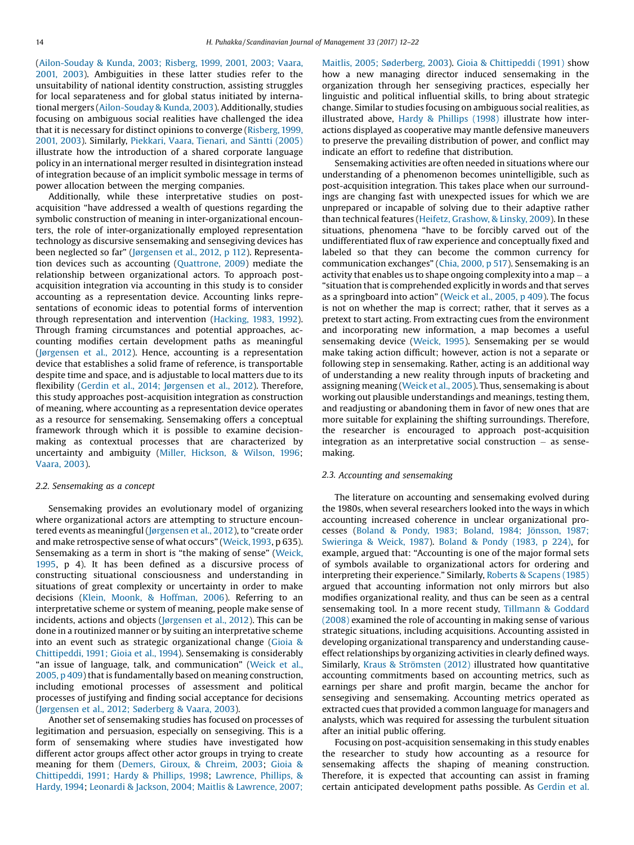([Ailon-Souday](#page-9-0) & Kunda, 2003; Risberg, 1999, 2001, 2003; Vaara, [2001,](#page-9-0) 2003). Ambiguities in these latter studies refer to the unsuitability of national identity construction, assisting struggles for local separateness and for global status initiated by international mergers [\(Ailon-Souday](#page-9-0) & Kunda, 2003). Additionally, studies focusing on ambiguous social realities have challenged the idea that it is necessary for distinct opinions to converge ([Risberg,](#page-9-0) 1999, [2001,](#page-9-0) 2003). Similarly, [Piekkari,](#page-9-0) Vaara, Tienari, and Säntti (2005) illustrate how the introduction of a shared corporate language policy in an international merger resulted in disintegration instead of integration because of an implicit symbolic message in terms of power allocation between the merging companies.

Additionally, while these interpretative studies on postacquisition "have addressed a wealth of questions regarding the symbolic construction of meaning in inter-organizational encounters, the role of inter-organizationally employed representation technology as discursive sensemaking and sensegiving devices has been neglected so far" ([Jørgensen](#page-9-0) et al., 2012, p 112). Representation devices such as accounting ([Quattrone,](#page-9-0) 2009) mediate the relationship between organizational actors. To approach postacquisition integration via accounting in this study is to consider accounting as a representation device. Accounting links representations of economic ideas to potential forms of intervention through representation and intervention ([Hacking,](#page-9-0) 1983, 1992). Through framing circumstances and potential approaches, accounting modifies certain development paths as meaningful ([Jørgensen](#page-9-0) et al., 2012). Hence, accounting is a representation device that establishes a solid frame of reference, is transportable despite time and space, and is adjustable to local matters due to its flexibility (Gerdin et al., 2014; [Jørgensen](#page-9-0) et al., 2012). Therefore, this study approaches post-acquisition integration as construction of meaning, where accounting as a representation device operates as a resource for sensemaking. Sensemaking offers a conceptual framework through which it is possible to examine decisionmaking as contextual processes that are characterized by uncertainty and ambiguity (Miller, [Hickson,](#page-9-0) & Wilson, 1996; [Vaara,](#page-10-0) 2003).

#### 2.2. Sensemaking as a concept

Sensemaking provides an evolutionary model of organizing where organizational actors are attempting to structure encountered events as meaningful ([Jørgensen](#page-9-0) et al., 2012), to "create order and make retrospective sense of what occurs" ([Weick, 1993](#page-10-0), p 635). Sensemaking as a term in short is "the making of sense" [\(Weick,](#page-10-0) [1995](#page-10-0), p 4). It has been defined as a discursive process of constructing situational consciousness and understanding in situations of great complexity or uncertainty in order to make decisions (Klein, Moonk, & [Hoffman,](#page-9-0) 2006). Referring to an interpretative scheme or system of meaning, people make sense of incidents, actions and objects [\(Jørgensen](#page-9-0) et al., 2012). This can be done in a routinized manner or by suiting an interpretative scheme into an event such as strategic organizational change [\(Gioia](#page-9-0) & [Chittipeddi,](#page-9-0) 1991; Gioia et al., 1994). Sensemaking is considerably "an issue of language, talk, and communication" ([Weick](#page-10-0) et al., [2005,](#page-10-0) p 409) that is fundamentally based on meaning construction, including emotional processes of assessment and political processes of justifying and finding social acceptance for decisions (Jørgensen et al., 2012; [Søderberg](#page-9-0) & Vaara, 2003).

Another set of sensemaking studies has focused on processes of legitimation and persuasion, especially on sensegiving. This is a form of sensemaking where studies have investigated how different actor groups affect other actor groups in trying to create meaning for them ([Demers,](#page-9-0) Giroux, & Chreim, 2003; [Gioia](#page-9-0) & [Chittipeddi,](#page-9-0) 1991; Hardy & Phillips, 1998; [Lawrence,](#page-9-0) Phillips, & [Hardy,](#page-9-0) 1994; Leonardi & Jackson, 2004; Maitlis & [Lawrence,](#page-9-0) 2007;

Maitlis, 2005; [Søderberg,](#page-9-0) 2003). Gioia & [Chittipeddi](#page-9-0) (1991) show how a new managing director induced sensemaking in the organization through her sensegiving practices, especially her linguistic and political influential skills, to bring about strategic change. Similar to studies focusing on ambiguous social realities, as illustrated above, Hardy & [Phillips](#page-9-0) (1998) illustrate how interactions displayed as cooperative may mantle defensive maneuvers to preserve the prevailing distribution of power, and conflict may indicate an effort to redefine that distribution.

Sensemaking activities are often needed in situations where our understanding of a phenomenon becomes unintelligible, such as post-acquisition integration. This takes place when our surroundings are changing fast with unexpected issues for which we are unprepared or incapable of solving due to their adaptive rather than technical features (Heifetz, [Grashow,](#page-9-0) & Linsky, 2009). In these situations, phenomena "have to be forcibly carved out of the undifferentiated flux of raw experience and conceptually fixed and labeled so that they can become the common currency for communication exchanges" (Chia, [2000,](#page-9-0) p 517). Sensemaking is an activity that enables us to shape ongoing complexity into a map  $-$  a "situation that is comprehended explicitly in words and that serves as a springboard into action" [\(Weick](#page-10-0) et al., 2005, p 409). The focus is not on whether the map is correct; rather, that it serves as a pretext to start acting. From extracting cues from the environment and incorporating new information, a map becomes a useful sensemaking device ([Weick,](#page-10-0) 1995). Sensemaking per se would make taking action difficult; however, action is not a separate or following step in sensemaking. Rather, acting is an additional way of understanding a new reality through inputs of bracketing and assigning meaning [\(Weick](#page-10-0) et al., 2005). Thus, sensemaking is about working out plausible understandings and meanings, testing them, and readjusting or abandoning them in favor of new ones that are more suitable for explaining the shifting surroundings. Therefore, the researcher is encouraged to approach post-acquisition integration as an interpretative social construction  $-$  as sensemaking.

#### 2.3. Accounting and sensemaking

The literature on accounting and sensemaking evolved during the 1980s, when several researchers looked into the ways in which accounting increased coherence in unclear organizational processes (Boland & Pondy, 1983; Boland, 1984; [Jönsson,](#page-9-0) 1987; [Swieringa](#page-9-0) & Weick, 1987). [Boland](#page-9-0) & Pondy (1983, p 224), for example, argued that: "Accounting is one of the major formal sets of symbols available to organizational actors for ordering and interpreting their experience." Similarly, Roberts & [Scapens](#page-9-0) (1985) argued that accounting information not only mirrors but also modifies organizational reality, and thus can be seen as a central sensemaking tool. In a more recent study, [Tillmann](#page-10-0) & Goddard [\(2008\)](#page-10-0) examined the role of accounting in making sense of various strategic situations, including acquisitions. Accounting assisted in developing organizational transparency and understanding causeeffect relationships by organizing activities in clearly defined ways. Similarly, Kraus & [Strömsten](#page-9-0) (2012) illustrated how quantitative accounting commitments based on accounting metrics, such as earnings per share and profit margin, became the anchor for sensegiving and sensemaking. Accounting metrics operated as extracted cues that provided a common language for managers and analysts, which was required for assessing the turbulent situation after an initial public offering.

Focusing on post-acquisition sensemaking in this study enables the researcher to study how accounting as a resource for sensemaking affects the shaping of meaning construction. Therefore, it is expected that accounting can assist in framing certain anticipated development paths possible. As [Gerdin](#page-9-0) et al.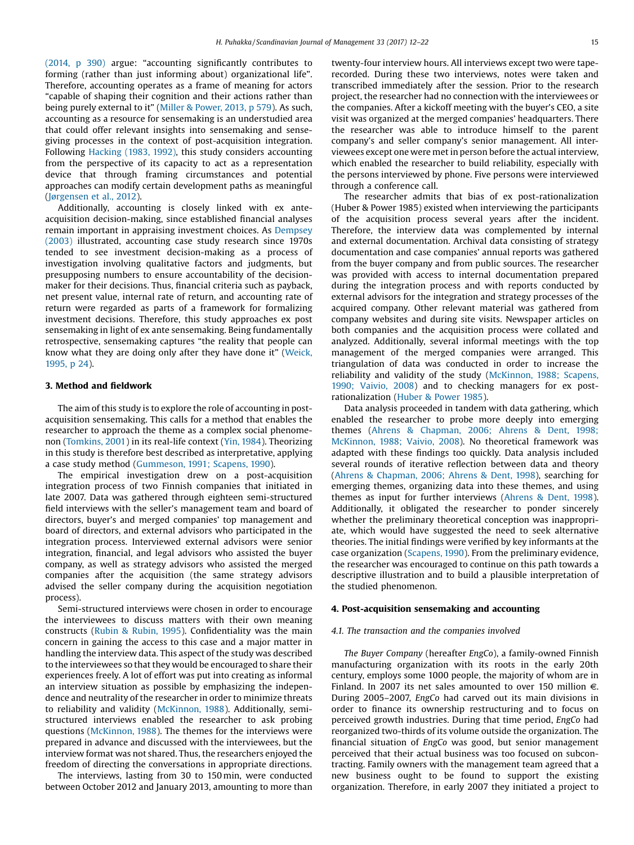[\(2014,](#page-9-0) p 390) argue: "accounting significantly contributes to forming (rather than just informing about) organizational life". Therefore, accounting operates as a frame of meaning for actors "capable of shaping their cognition and their actions rather than being purely external to it" (Miller & [Power,](#page-9-0) 2013, p 579). As such, accounting as a resource for sensemaking is an understudied area that could offer relevant insights into sensemaking and sensegiving processes in the context of post-acquisition integration. Following [Hacking](#page-9-0) (1983, 1992), this study considers accounting from the perspective of its capacity to act as a representation device that through framing circumstances and potential approaches can modify certain development paths as meaningful ([Jørgensen](#page-9-0) et al., 2012).

Additionally, accounting is closely linked with ex anteacquisition decision-making, since established financial analyses remain important in appraising investment choices. As [Dempsey](#page-9-0) [\(2003\)](#page-9-0) illustrated, accounting case study research since 1970s tended to see investment decision-making as a process of investigation involving qualitative factors and judgments, but presupposing numbers to ensure accountability of the decisionmaker for their decisions. Thus, financial criteria such as payback, net present value, internal rate of return, and accounting rate of return were regarded as parts of a framework for formalizing investment decisions. Therefore, this study approaches ex post sensemaking in light of ex ante sensemaking. Being fundamentally retrospective, sensemaking captures "the reality that people can know what they are doing only after they have done it" ([Weick,](#page-10-0) [1995,](#page-10-0) p 24).

## 3. Method and fieldwork

The aim of this study is to explore the role of accounting in postacquisition sensemaking. This calls for a method that enables the researcher to approach the theme as a complex social phenomenon [\(Tomkins,](#page-10-0) 2001) in its real-life context (Yin, [1984](#page-10-0)). Theorizing in this study is therefore best described as interpretative, applying a case study method [\(Gummeson,](#page-9-0) 1991; Scapens, 1990).

The empirical investigation drew on a post-acquisition integration process of two Finnish companies that initiated in late 2007. Data was gathered through eighteen semi-structured field interviews with the seller's management team and board of directors, buyer's and merged companies' top management and board of directors, and external advisors who participated in the integration process. Interviewed external advisors were senior integration, financial, and legal advisors who assisted the buyer company, as well as strategy advisors who assisted the merged companies after the acquisition (the same strategy advisors advised the seller company during the acquisition negotiation process).

Semi-structured interviews were chosen in order to encourage the interviewees to discuss matters with their own meaning constructs (Rubin & [Rubin,](#page-9-0) 1995). Confidentiality was the main concern in gaining the access to this case and a major matter in handling the interview data. This aspect of the study was described to the interviewees so that they would be encouraged to share their experiences freely. A lot of effort was put into creating as informal an interview situation as possible by emphasizing the independence and neutrality of the researcher in order to minimize threats to reliability and validity ([McKinnon,](#page-9-0) 1988). Additionally, semistructured interviews enabled the researcher to ask probing questions [\(McKinnon,](#page-9-0) 1988). The themes for the interviews were prepared in advance and discussed with the interviewees, but the interview format was not shared. Thus, the researchers enjoyed the freedom of directing the conversations in appropriate directions.

The interviews, lasting from 30 to 150 min, were conducted between October 2012 and January 2013, amounting to more than twenty-four interview hours. All interviews except two were taperecorded. During these two interviews, notes were taken and transcribed immediately after the session. Prior to the research project, the researcher had no connection with the interviewees or the companies. After a kickoff meeting with the buyer's CEO, a site visit was organized at the merged companies' headquarters. There the researcher was able to introduce himself to the parent company's and seller company's senior management. All interviewees except one were met in person before the actual interview, which enabled the researcher to build reliability, especially with the persons interviewed by phone. Five persons were interviewed through a conference call.

The researcher admits that bias of ex post-rationalization (Huber & Power 1985) existed when interviewing the participants of the acquisition process several years after the incident. Therefore, the interview data was complemented by internal and external documentation. Archival data consisting of strategy documentation and case companies' annual reports was gathered from the buyer company and from public sources. The researcher was provided with access to internal documentation prepared during the integration process and with reports conducted by external advisors for the integration and strategy processes of the acquired company. Other relevant material was gathered from company websites and during site visits. Newspaper articles on both companies and the acquisition process were collated and analyzed. Additionally, several informal meetings with the top management of the merged companies were arranged. This triangulation of data was conducted in order to increase the reliability and validity of the study ([McKinnon,](#page-9-0) 1988; Scapens, 1990; [Vaivio,](#page-9-0) 2008) and to checking managers for ex postrationalization (Huber & [Power](#page-9-0) 1985).

Data analysis proceeded in tandem with data gathering, which enabled the researcher to probe more deeply into emerging themes (Ahrens & [Chapman,](#page-9-0) 2006; Ahrens & Dent, 1998; [McKinnon,](#page-9-0) 1988; Vaivio, 2008). No theoretical framework was adapted with these findings too quickly. Data analysis included several rounds of iterative reflection between data and theory (Ahrens & [Chapman,](#page-9-0) 2006; Ahrens & Dent, 1998), searching for emerging themes, organizing data into these themes, and using themes as input for further interviews ([Ahrens](#page-9-0) & Dent, 1998). Additionally, it obligated the researcher to ponder sincerely whether the preliminary theoretical conception was inappropriate, which would have suggested the need to seek alternative theories. The initial findings were verified by key informants at the case organization [\(Scapens,](#page-10-0) 1990). From the preliminary evidence, the researcher was encouraged to continue on this path towards a descriptive illustration and to build a plausible interpretation of the studied phenomenon.

## 4. Post-acquisition sensemaking and accounting

## 4.1. The transaction and the companies involved

The Buyer Company (hereafter EngCo), a family-owned Finnish manufacturing organization with its roots in the early 20th century, employs some 1000 people, the majority of whom are in Finland. In 2007 its net sales amounted to over 150 million  $\epsilon$ . During 2005–2007, EngCo had carved out its main divisions in order to finance its ownership restructuring and to focus on perceived growth industries. During that time period, EngCo had reorganized two-thirds of its volume outside the organization. The financial situation of EngCo was good, but senior management perceived that their actual business was too focused on subcontracting. Family owners with the management team agreed that a new business ought to be found to support the existing organization. Therefore, in early 2007 they initiated a project to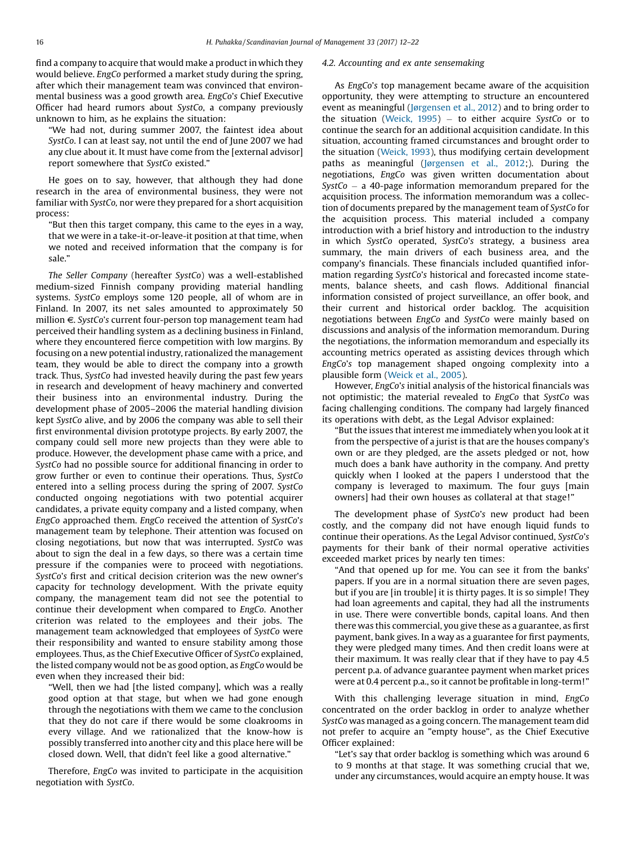find a company to acquire that would make a product in which they would believe. EngCo performed a market study during the spring, after which their management team was convinced that environmental business was a good growth area. EngCo's Chief Executive Officer had heard rumors about SystCo, a company previously unknown to him, as he explains the situation:

"We had not, during summer 2007, the faintest idea about SystCo. I can at least say, not until the end of June 2007 we had any clue about it. It must have come from the [external advisor] report somewhere that SystCo existed."

He goes on to say, however, that although they had done research in the area of environmental business, they were not familiar with SystCo, nor were they prepared for a short acquisition process:

"But then this target company, this came to the eyes in a way, that we were in a take-it-or-leave-it position at that time, when we noted and received information that the company is for sale."

The Seller Company (hereafter SystCo) was a well-established medium-sized Finnish company providing material handling systems. SystCo employs some 120 people, all of whom are in Finland. In 2007, its net sales amounted to approximately 50 million  $\epsilon$ . SystCo's current four-person top management team had perceived their handling system as a declining business in Finland, where they encountered fierce competition with low margins. By focusing on a new potential industry, rationalized the management team, they would be able to direct the company into a growth track. Thus, SystCo had invested heavily during the past few years in research and development of heavy machinery and converted their business into an environmental industry. During the development phase of 2005–2006 the material handling division kept SystCo alive, and by 2006 the company was able to sell their first environmental division prototype projects. By early 2007, the company could sell more new projects than they were able to produce. However, the development phase came with a price, and SystCo had no possible source for additional financing in order to grow further or even to continue their operations. Thus, SystCo entered into a selling process during the spring of 2007. SystCo conducted ongoing negotiations with two potential acquirer candidates, a private equity company and a listed company, when EngCo approached them. EngCo received the attention of SystCo's management team by telephone. Their attention was focused on closing negotiations, but now that was interrupted. SystCo was about to sign the deal in a few days, so there was a certain time pressure if the companies were to proceed with negotiations. SystCo's first and critical decision criterion was the new owner's capacity for technology development. With the private equity company, the management team did not see the potential to continue their development when compared to EngCo. Another criterion was related to the employees and their jobs. The management team acknowledged that employees of SystCo were their responsibility and wanted to ensure stability among those employees. Thus, as the Chief Executive Officer of SystCo explained, the listed company would not be as good option, as EngCo would be even when they increased their bid:

"Well, then we had [the listed company], which was a really good option at that stage, but when we had gone enough through the negotiations with them we came to the conclusion that they do not care if there would be some cloakrooms in every village. And we rationalized that the know-how is possibly transferred into another city and this place here will be closed down. Well, that didn't feel like a good alternative."

Therefore, EngCo was invited to participate in the acquisition negotiation with SystCo.

#### 4.2. Accounting and ex ante sensemaking

As EngCo's top management became aware of the acquisition opportunity, they were attempting to structure an encountered event as meaningful ([Jørgensen](#page-9-0) et al., 2012) and to bring order to the situation [\(Weick,](#page-10-0)  $1995$ ) - to either acquire SystCo or to continue the search for an additional acquisition candidate. In this situation, accounting framed circumstances and brought order to the situation ([Weick,](#page-10-0) 1993), thus modifying certain development paths as meaningful ([Jørgensen](#page-9-0) et al., 2012;). During the negotiations, EngCo was given written documentation about  $SystCo - a 40$ -page information memorandum prepared for the acquisition process. The information memorandum was a collection of documents prepared by the management team of SystCo for the acquisition process. This material included a company introduction with a brief history and introduction to the industry in which SystCo operated, SystCo's strategy, a business area summary, the main drivers of each business area, and the company's financials. These financials included quantified information regarding SystCo's historical and forecasted income statements, balance sheets, and cash flows. Additional financial information consisted of project surveillance, an offer book, and their current and historical order backlog. The acquisition negotiations between EngCo and SystCo were mainly based on discussions and analysis of the information memorandum. During the negotiations, the information memorandum and especially its accounting metrics operated as assisting devices through which EngCo's top management shaped ongoing complexity into a plausible form [\(Weick](#page-10-0) et al., 2005).

However, EngCo's initial analysis of the historical financials was not optimistic; the material revealed to EngCo that SystCo was facing challenging conditions. The company had largely financed its operations with debt, as the Legal Advisor explained:

"But the issues that interest me immediately when you look at it from the perspective of a jurist is that are the houses company's own or are they pledged, are the assets pledged or not, how much does a bank have authority in the company. And pretty quickly when I looked at the papers I understood that the company is leveraged to maximum. The four guys [main owners] had their own houses as collateral at that stage!"

The development phase of SystCo's new product had been costly, and the company did not have enough liquid funds to continue their operations. As the Legal Advisor continued, SystCo's payments for their bank of their normal operative activities exceeded market prices by nearly ten times:

"And that opened up for me. You can see it from the banks' papers. If you are in a normal situation there are seven pages, but if you are [in trouble] it is thirty pages. It is so simple! They had loan agreements and capital, they had all the instruments in use. There were convertible bonds, capital loans. And then there was this commercial, you give these as a guarantee, as first payment, bank gives. In a way as a guarantee for first payments, they were pledged many times. And then credit loans were at their maximum. It was really clear that if they have to pay 4.5 percent p.a. of advance guarantee payment when market prices were at 0.4 percent p.a., so it cannot be profitable in long-term!"

With this challenging leverage situation in mind, EngCo concentrated on the order backlog in order to analyze whether SystCo was managed as a going concern. The management team did not prefer to acquire an "empty house", as the Chief Executive Officer explained:

"Let's say that order backlog is something which was around 6 to 9 months at that stage. It was something crucial that we, under any circumstances, would acquire an empty house. It was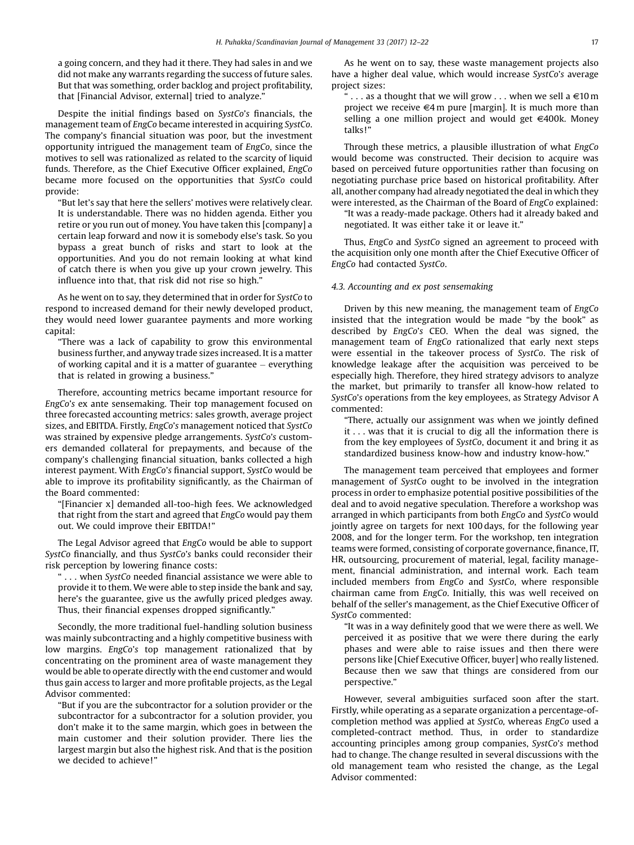a going concern, and they had it there. They had sales in and we did not make any warrants regarding the success of future sales. But that was something, order backlog and project profitability, that [Financial Advisor, external] tried to analyze."

Despite the initial findings based on SystCo's financials, the management team of EngCo became interested in acquiring SystCo. The company's financial situation was poor, but the investment opportunity intrigued the management team of EngCo, since the motives to sell was rationalized as related to the scarcity of liquid funds. Therefore, as the Chief Executive Officer explained, EngCo became more focused on the opportunities that SystCo could provide:

"But let's say that here the sellers' motives were relatively clear. It is understandable. There was no hidden agenda. Either you retire or you run out of money. You have taken this [company] a certain leap forward and now it is somebody else's task. So you bypass a great bunch of risks and start to look at the opportunities. And you do not remain looking at what kind of catch there is when you give up your crown jewelry. This influence into that, that risk did not rise so high."

As he went on to say, they determined that in order for SystCo to respond to increased demand for their newly developed product, they would need lower guarantee payments and more working capital:

"There was a lack of capability to grow this environmental business further, and anyway trade sizes increased. It is a matter of working capital and it is a matter of guarantee  $-$  everything that is related in growing a business."

Therefore, accounting metrics became important resource for EngCo's ex ante sensemaking. Their top management focused on three forecasted accounting metrics: sales growth, average project sizes, and EBITDA. Firstly, EngCo's management noticed that SystCo was strained by expensive pledge arrangements. SystCo's customers demanded collateral for prepayments, and because of the company's challenging financial situation, banks collected a high interest payment. With EngCo's financial support, SystCo would be able to improve its profitability significantly, as the Chairman of the Board commented:

"[Financier x] demanded all-too-high fees. We acknowledged that right from the start and agreed that EngCo would pay them out. We could improve their EBITDA!"

The Legal Advisor agreed that EngCo would be able to support SystCo financially, and thus SystCo's banks could reconsider their risk perception by lowering finance costs:

" . . . when SystCo needed financial assistance we were able to provide it to them. We were able to step inside the bank and say, here's the guarantee, give us the awfully priced pledges away. Thus, their financial expenses dropped significantly."

Secondly, the more traditional fuel-handling solution business was mainly subcontracting and a highly competitive business with low margins. EngCo's top management rationalized that by concentrating on the prominent area of waste management they would be able to operate directly with the end customer and would thus gain access to larger and more profitable projects, as the Legal Advisor commented:

"But if you are the subcontractor for a solution provider or the subcontractor for a subcontractor for a solution provider, you don't make it to the same margin, which goes in between the main customer and their solution provider. There lies the largest margin but also the highest risk. And that is the position we decided to achieve!"

As he went on to say, these waste management projects also have a higher deal value, which would increase SystCo's average project sizes:

" . . . as a thought that we will grow . . . when we sell a  $\in$ 10 m project we receive  $\in$ 4 m pure [margin]. It is much more than selling a one million project and would get  $\in$ 400k. Money talks!"

Through these metrics, a plausible illustration of what EngCo would become was constructed. Their decision to acquire was based on perceived future opportunities rather than focusing on negotiating purchase price based on historical profitability. After all, another company had already negotiated the deal in which they were interested, as the Chairman of the Board of EngCo explained: "It was a ready-made package. Others had it already baked and negotiated. It was either take it or leave it."

Thus, EngCo and SystCo signed an agreement to proceed with the acquisition only one month after the Chief Executive Officer of EngCo had contacted SystCo.

### 4.3. Accounting and ex post sensemaking

Driven by this new meaning, the management team of EngCo insisted that the integration would be made "by the book" as described by EngCo's CEO. When the deal was signed, the management team of EngCo rationalized that early next steps were essential in the takeover process of SystCo. The risk of knowledge leakage after the acquisition was perceived to be especially high. Therefore, they hired strategy advisors to analyze the market, but primarily to transfer all know-how related to SystCo's operations from the key employees, as Strategy Advisor A commented:

"There, actually our assignment was when we jointly defined it . . . was that it is crucial to dig all the information there is from the key employees of SystCo, document it and bring it as standardized business know-how and industry know-how."

The management team perceived that employees and former management of SystCo ought to be involved in the integration process in order to emphasize potential positive possibilities of the deal and to avoid negative speculation. Therefore a workshop was arranged in which participants from both EngCo and SystCo would jointly agree on targets for next 100 days, for the following year 2008, and for the longer term. For the workshop, ten integration teams were formed, consisting of corporate governance, finance, IT, HR, outsourcing, procurement of material, legal, facility management, financial administration, and internal work. Each team included members from EngCo and SystCo, where responsible chairman came from EngCo. Initially, this was well received on behalf of the seller's management, as the Chief Executive Officer of SystCo commented:

"It was in a way definitely good that we were there as well. We perceived it as positive that we were there during the early phases and were able to raise issues and then there were persons like [Chief Executive Officer, buyer] who really listened. Because then we saw that things are considered from our perspective."

However, several ambiguities surfaced soon after the start. Firstly, while operating as a separate organization a percentage-ofcompletion method was applied at SystCo, whereas EngCo used a completed-contract method. Thus, in order to standardize accounting principles among group companies, SystCo's method had to change. The change resulted in several discussions with the old management team who resisted the change, as the Legal Advisor commented: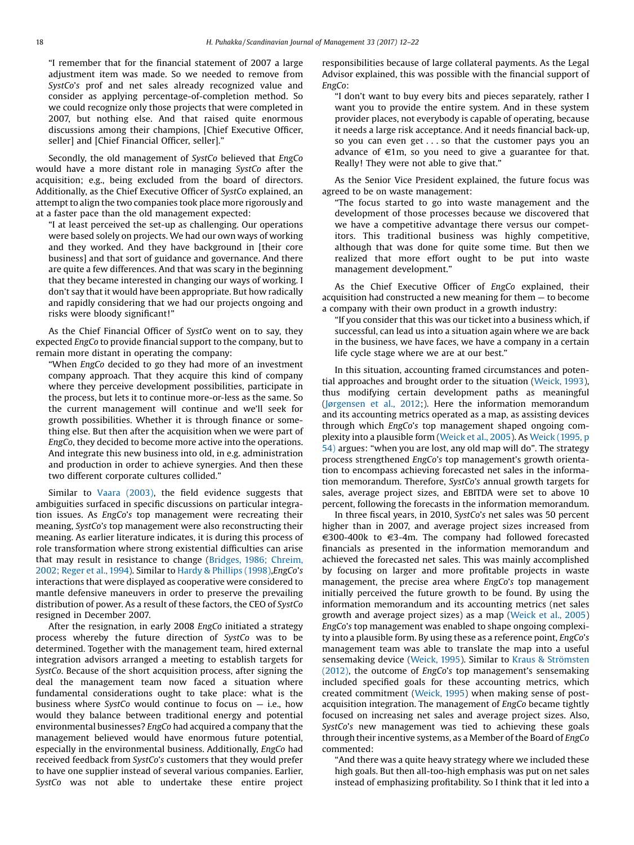"I remember that for the financial statement of 2007 a large adjustment item was made. So we needed to remove from SystCo's prof and net sales already recognized value and consider as applying percentage-of-completion method. So we could recognize only those projects that were completed in 2007, but nothing else. And that raised quite enormous discussions among their champions, [Chief Executive Officer, seller] and [Chief Financial Officer, seller]."

Secondly, the old management of SystCo believed that EngCo would have a more distant role in managing SystCo after the acquisition; e.g., being excluded from the board of directors. Additionally, as the Chief Executive Officer of SystCo explained, an attempt to align the two companies took place more rigorously and at a faster pace than the old management expected:

"I at least perceived the set-up as challenging. Our operations were based solely on projects. We had our own ways of working and they worked. And they have background in [their core business] and that sort of guidance and governance. And there are quite a few differences. And that was scary in the beginning that they became interested in changing our ways of working. I don't say that it would have been appropriate. But how radically and rapidly considering that we had our projects ongoing and risks were bloody significant!"

As the Chief Financial Officer of SystCo went on to say, they expected EngCo to provide financial support to the company, but to remain more distant in operating the company:

"When EngCo decided to go they had more of an investment company approach. That they acquire this kind of company where they perceive development possibilities, participate in the process, but lets it to continue more-or-less as the same. So the current management will continue and we'll seek for growth possibilities. Whether it is through finance or something else. But then after the acquisition when we were part of EngCo, they decided to become more active into the operations. And integrate this new business into old, in e.g. administration and production in order to achieve synergies. And then these two different corporate cultures collided."

Similar to Vaara [\(2003\)](#page-10-0), the field evidence suggests that ambiguities surfaced in specific discussions on particular integration issues. As EngCo's top management were recreating their meaning, SystCo's top management were also reconstructing their meaning. As earlier literature indicates, it is during this process of role transformation where strong existential difficulties can arise that may result in resistance to change [\(Bridges,](#page-9-0) 1986; Chreim, [2002;](#page-9-0) Reger et al., 1994). Similar to Hardy & [Phillips](#page-9-0) (1998),EngCo's interactions that were displayed as cooperative were considered to mantle defensive maneuvers in order to preserve the prevailing distribution of power. As a result of these factors, the CEO of SystCo resigned in December 2007.

After the resignation, in early 2008 EngCo initiated a strategy process whereby the future direction of SystCo was to be determined. Together with the management team, hired external integration advisors arranged a meeting to establish targets for SystCo. Because of the short acquisition process, after signing the deal the management team now faced a situation where fundamental considerations ought to take place: what is the business where SystCo would continue to focus on  $-$  i.e., how would they balance between traditional energy and potential environmental businesses? EngCo had acquired a company that the management believed would have enormous future potential, especially in the environmental business. Additionally, EngCo had received feedback from SystCo's customers that they would prefer to have one supplier instead of several various companies. Earlier, SystCo was not able to undertake these entire project responsibilities because of large collateral payments. As the Legal Advisor explained, this was possible with the financial support of EngCo:

"I don't want to buy every bits and pieces separately, rather I want you to provide the entire system. And in these system provider places, not everybody is capable of operating, because it needs a large risk acceptance. And it needs financial back-up, so you can even get . . . so that the customer pays you an advance of  $\in 1m$ , so you need to give a guarantee for that. Really! They were not able to give that."

As the Senior Vice President explained, the future focus was agreed to be on waste management:

"The focus started to go into waste management and the development of those processes because we discovered that we have a competitive advantage there versus our competitors. This traditional business was highly competitive, although that was done for quite some time. But then we realized that more effort ought to be put into waste management development."

As the Chief Executive Officer of EngCo explained, their acquisition had constructed a new meaning for them — to become a company with their own product in a growth industry:

"If you consider that this was our ticket into a business which, if successful, can lead us into a situation again where we are back in the business, we have faces, we have a company in a certain life cycle stage where we are at our best."

In this situation, accounting framed circumstances and potential approaches and brought order to the situation [\(Weick,](#page-10-0) 1993), thus modifying certain development paths as meaningful ([Jørgensen](#page-9-0) et al., 2012;). Here the information memorandum and its accounting metrics operated as a map, as assisting devices through which EngCo's top management shaped ongoing complexity into a plausible form ([Weick](#page-10-0) et al., 2005). As Weick [\(1995,](#page-10-0) p [54\)](#page-10-0) argues: "when you are lost, any old map will do". The strategy process strengthened EngCo's top management's growth orientation to encompass achieving forecasted net sales in the information memorandum. Therefore, SystCo's annual growth targets for sales, average project sizes, and EBITDA were set to above 10 percent, following the forecasts in the information memorandum.

In three fiscal years, in 2010, SystCo's net sales was 50 percent higher than in 2007, and average project sizes increased from  $\epsilon$ 300-400k to  $\epsilon$ 3-4m. The company had followed forecasted financials as presented in the information memorandum and achieved the forecasted net sales. This was mainly accomplished by focusing on larger and more profitable projects in waste management, the precise area where EngCo's top management initially perceived the future growth to be found. By using the information memorandum and its accounting metrics (net sales growth and average project sizes) as a map ([Weick](#page-10-0) et al., 2005) EngCo's top management was enabled to shape ongoing complexity into a plausible form. By using these as a reference point, EngCo's management team was able to translate the map into a useful sensemaking device ([Weick,](#page-10-0) 1995). Similar to Kraus & [Strömsten](#page-9-0) [\(2012\)](#page-9-0), the outcome of EngCo's top management's sensemaking included specified goals for these accounting metrics, which created commitment ([Weick,](#page-10-0) 1995) when making sense of postacquisition integration. The management of EngCo became tightly focused on increasing net sales and average project sizes. Also, SystCo's new management was tied to achieving these goals through their incentive systems, as a Member of the Board of EngCo commented:

"And there was a quite heavy strategy where we included these high goals. But then all-too-high emphasis was put on net sales instead of emphasizing profitability. So I think that it led into a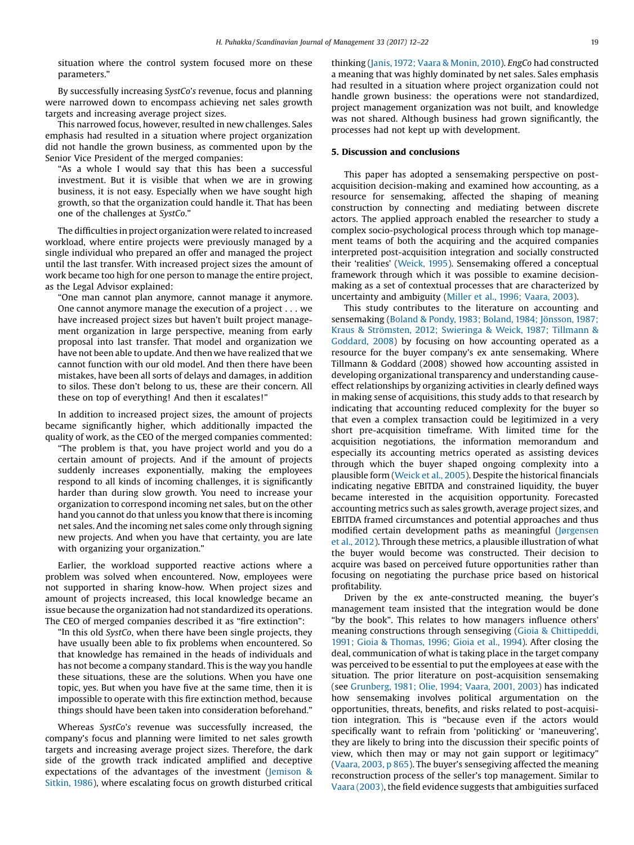situation where the control system focused more on these parameters."

By successfully increasing SystCo's revenue, focus and planning were narrowed down to encompass achieving net sales growth targets and increasing average project sizes.

This narrowed focus, however, resulted in new challenges. Sales emphasis had resulted in a situation where project organization did not handle the grown business, as commented upon by the Senior Vice President of the merged companies:

"As a whole I would say that this has been a successful investment. But it is visible that when we are in growing business, it is not easy. Especially when we have sought high growth, so that the organization could handle it. That has been one of the challenges at SystCo."

The difficulties in project organization were related to increased workload, where entire projects were previously managed by a single individual who prepared an offer and managed the project until the last transfer. With increased project sizes the amount of work became too high for one person to manage the entire project, as the Legal Advisor explained:

"One man cannot plan anymore, cannot manage it anymore. One cannot anymore manage the execution of a project . . . we have increased project sizes but haven't built project management organization in large perspective, meaning from early proposal into last transfer. That model and organization we have not been able to update. And then we have realized that we cannot function with our old model. And then there have been mistakes, have been all sorts of delays and damages, in addition to silos. These don't belong to us, these are their concern. All these on top of everything! And then it escalates!"

In addition to increased project sizes, the amount of projects became significantly higher, which additionally impacted the quality of work, as the CEO of the merged companies commented:

"The problem is that, you have project world and you do a certain amount of projects. And if the amount of projects suddenly increases exponentially, making the employees respond to all kinds of incoming challenges, it is significantly harder than during slow growth. You need to increase your organization to correspond incoming net sales, but on the other hand you cannot do that unless you know that there is incoming net sales. And the incoming net sales come only through signing new projects. And when you have that certainty, you are late with organizing your organization."

Earlier, the workload supported reactive actions where a problem was solved when encountered. Now, employees were not supported in sharing know-how. When project sizes and amount of projects increased, this local knowledge became an issue because the organization had not standardized its operations. The CEO of merged companies described it as "fire extinction":

"In this old SystCo, when there have been single projects, they have usually been able to fix problems when encountered. So that knowledge has remained in the heads of individuals and has not become a company standard. This is the way you handle these situations, these are the solutions. When you have one topic, yes. But when you have five at the same time, then it is impossible to operate with this fire extinction method, because things should have been taken into consideration beforehand."

Whereas SystCo's revenue was successfully increased, the company's focus and planning were limited to net sales growth targets and increasing average project sizes. Therefore, the dark side of the growth track indicated amplified and deceptive expectations of the advantages of the investment ([Jemison](#page-9-0) & [Sitkin,](#page-9-0) 1986), where escalating focus on growth disturbed critical

thinking [\(Janis,1972;](#page-9-0) Vaara & Monin, 2010). EngCo had constructed a meaning that was highly dominated by net sales. Sales emphasis had resulted in a situation where project organization could not handle grown business: the operations were not standardized, project management organization was not built, and knowledge was not shared. Although business had grown significantly, the processes had not kept up with development.

#### 5. Discussion and conclusions

This paper has adopted a sensemaking perspective on postacquisition decision-making and examined how accounting, as a resource for sensemaking, affected the shaping of meaning construction by connecting and mediating between discrete actors. The applied approach enabled the researcher to study a complex socio-psychological process through which top management teams of both the acquiring and the acquired companies interpreted post-acquisition integration and socially constructed their 'realities' ([Weick,](#page-10-0) 1995). Sensemaking offered a conceptual framework through which it was possible to examine decisionmaking as a set of contextual processes that are characterized by uncertainty and ambiguity (Miller et al., 1996; [Vaara,](#page-9-0) 2003).

This study contributes to the literature on accounting and sensemaking (Boland & Pondy, 1983; Boland, 1984; [Jönsson,](#page-9-0) 1987; Kraus & [Strömsten,](#page-9-0) 2012; Swieringa & Weick, 1987; Tillmann & [Goddard,](#page-9-0) 2008) by focusing on how accounting operated as a resource for the buyer company's ex ante sensemaking. Where Tillmann & Goddard (2008) showed how accounting assisted in developing organizational transparency and understanding causeeffect relationships by organizing activities in clearly defined ways in making sense of acquisitions, this study adds to that research by indicating that accounting reduced complexity for the buyer so that even a complex transaction could be legitimized in a very short pre-acquisition timeframe. With limited time for the acquisition negotiations, the information memorandum and especially its accounting metrics operated as assisting devices through which the buyer shaped ongoing complexity into a plausible form [\(Weick](#page-10-0) et al., 2005). Despite the historical financials indicating negative EBITDA and constrained liquidity, the buyer became interested in the acquisition opportunity. Forecasted accounting metrics such as sales growth, average project sizes, and EBITDA framed circumstances and potential approaches and thus modified certain development paths as meaningful [\(Jørgensen](#page-9-0) et al., [2012](#page-9-0)). Through these metrics, a plausible illustration of what the buyer would become was constructed. Their decision to acquire was based on perceived future opportunities rather than focusing on negotiating the purchase price based on historical profitability.

Driven by the ex ante-constructed meaning, the buyer's management team insisted that the integration would be done "by the book". This relates to how managers influence others' meaning constructions through sensegiving (Gioia & [Chittipeddi,](#page-9-0) 1991; Gioia & [Thomas,](#page-9-0) 1996; Gioia et al., 1994). After closing the deal, communication of what is taking place in the target company was perceived to be essential to put the employees at ease with the situation. The prior literature on post-acquisition sensemaking (see [Grunberg,](#page-9-0) 1981; Olie, 1994; Vaara, 2001, 2003) has indicated how sensemaking involves political argumentation on the opportunities, threats, benefits, and risks related to post-acquisition integration. This is "because even if the actors would specifically want to refrain from 'politicking' or 'maneuvering', they are likely to bring into the discussion their specific points of view, which then may or may not gain support or legitimacy" ([Vaara,](#page-10-0) 2003, p 865). The buyer's sensegiving affected the meaning reconstruction process of the seller's top management. Similar to Vaara [\(2003\)](#page-10-0), the field evidence suggests that ambiguities surfaced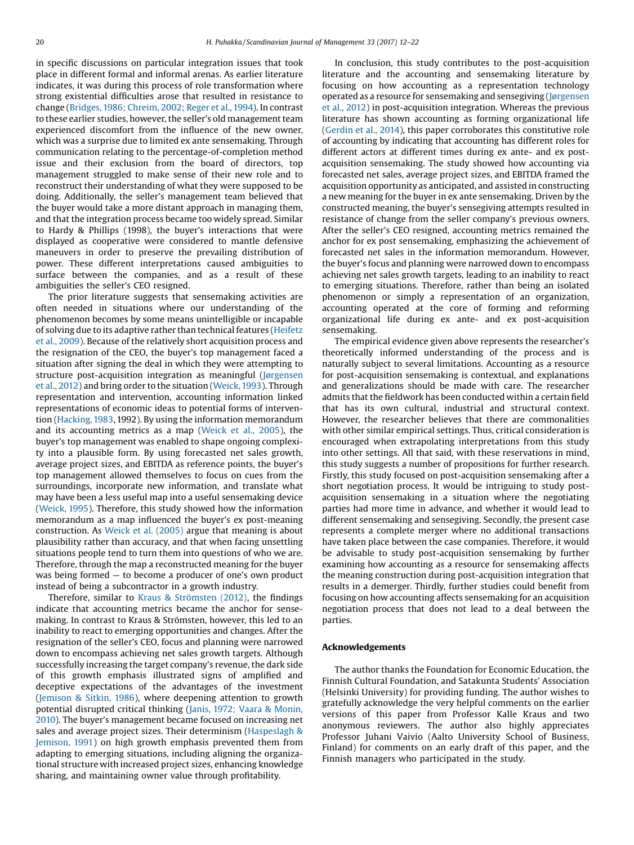in specific discussions on particular integration issues that took place in different formal and informal arenas. As earlier literature indicates, it was during this process of role transformation where strong existential difficulties arose that resulted in resistance to change [\(Bridges,1986;](#page-9-0) Chreim, 2002; Reger et al., 1994). In contrast to these earlier studies, however, the seller's old management team experienced discomfort from the influence of the new owner, which was a surprise due to limited ex ante sensemaking. Through communication relating to the percentage-of-completion method issue and their exclusion from the board of directors, top management struggled to make sense of their new role and to reconstruct their understanding of what they were supposed to be doing. Additionally, the seller's management team believed that the buyer would take a more distant approach in managing them, and that the integration process became too widely spread. Similar to Hardy & Phillips (1998), the buyer's interactions that were displayed as cooperative were considered to mantle defensive maneuvers in order to preserve the prevailing distribution of power. These different interpretations caused ambiguities to surface between the companies, and as a result of these ambiguities the seller's CEO resigned.

The prior literature suggests that sensemaking activities are often needed in situations where our understanding of the phenomenon becomes by some means unintelligible or incapable of solving due to its adaptive rather than technical features [\(Heifetz](#page-9-0) et al., [2009](#page-9-0)). Because of the relatively short acquisition process and the resignation of the CEO, the buyer's top management faced a situation after signing the deal in which they were attempting to structure post-acquisition integration as meaningful [\(Jørgensen](#page-9-0) et al., [2012\)](#page-9-0) and bring order to the situation [\(Weick, 1993\)](#page-10-0). Through representation and intervention, accounting information linked representations of economic ideas to potential forms of intervention ([Hacking, 1983](#page-9-0),1992). By using the information memorandum and its accounting metrics as a map [\(Weick](#page-10-0) et al., 2005), the buyer's top management was enabled to shape ongoing complexity into a plausible form. By using forecasted net sales growth, average project sizes, and EBITDA as reference points, the buyer's top management allowed themselves to focus on cues from the surroundings, incorporate new information, and translate what may have been a less useful map into a useful sensemaking device ([Weick,](#page-10-0) 1995). Therefore, this study showed how the information memorandum as a map influenced the buyer's ex post-meaning construction. As Weick et al. [\(2005\)](#page-10-0) argue that meaning is about plausibility rather than accuracy, and that when facing unsettling situations people tend to turn them into questions of who we are. Therefore, through the map a reconstructed meaning for the buyer was being formed — to become a producer of one's own product instead of being a subcontractor in a growth industry.

Therefore, similar to Kraus & [Strömsten](#page-9-0) (2012), the findings indicate that accounting metrics became the anchor for sensemaking. In contrast to Kraus & Strömsten, however, this led to an inability to react to emerging opportunities and changes. After the resignation of the seller's CEO, focus and planning were narrowed down to encompass achieving net sales growth targets. Although successfully increasing the target company's revenue, the dark side of this growth emphasis illustrated signs of amplified and deceptive expectations of the advantages of the investment ([Jemison](#page-9-0) & Sitkin, 1986), where deepening attention to growth potential disrupted critical thinking (Janis, 1972; Vaara & [Monin,](#page-9-0) [2010](#page-9-0)). The buyer's management became focused on increasing net sales and average project sizes. Their determinism ([Haspeslagh](#page-9-0) & [Jemison,](#page-9-0) 1991) on high growth emphasis prevented them from adapting to emerging situations, including aligning the organizational structure with increased project sizes, enhancing knowledge sharing, and maintaining owner value through profitability.

In conclusion, this study contributes to the post-acquisition literature and the accounting and sensemaking literature by focusing on how accounting as a representation technology operated as a resource for sensemaking and sensegiving [\(Jørgensen](#page-9-0) et al., [2012](#page-9-0)) in post-acquisition integration. Whereas the previous literature has shown accounting as forming organizational life ([Gerdin](#page-9-0) et al., 2014), this paper corroborates this constitutive role of accounting by indicating that accounting has different roles for different actors at different times during ex ante- and ex postacquisition sensemaking. The study showed how accounting via forecasted net sales, average project sizes, and EBITDA framed the acquisition opportunity as anticipated, and assisted in constructing a new meaning for the buyer in ex ante sensemaking. Driven by the constructed meaning, the buyer's sensegiving attempts resulted in resistance of change from the seller company's previous owners. After the seller's CEO resigned, accounting metrics remained the anchor for ex post sensemaking, emphasizing the achievement of forecasted net sales in the information memorandum. However, the buyer's focus and planning were narrowed down to encompass achieving net sales growth targets, leading to an inability to react to emerging situations. Therefore, rather than being an isolated phenomenon or simply a representation of an organization, accounting operated at the core of forming and reforming organizational life during ex ante- and ex post-acquisition sensemaking.

The empirical evidence given above represents the researcher's theoretically informed understanding of the process and is naturally subject to several limitations. Accounting as a resource for post-acquisition sensemaking is contextual, and explanations and generalizations should be made with care. The researcher admits that the fieldwork has been conducted within a certain field that has its own cultural, industrial and structural context. However, the researcher believes that there are commonalities with other similar empirical settings. Thus, critical consideration is encouraged when extrapolating interpretations from this study into other settings. All that said, with these reservations in mind, this study suggests a number of propositions for further research. Firstly, this study focused on post-acquisition sensemaking after a short negotiation process. It would be intriguing to study postacquisition sensemaking in a situation where the negotiating parties had more time in advance, and whether it would lead to different sensemaking and sensegiving. Secondly, the present case represents a complete merger where no additional transactions have taken place between the case companies. Therefore, it would be advisable to study post-acquisition sensemaking by further examining how accounting as a resource for sensemaking affects the meaning construction during post-acquisition integration that results in a demerger. Thirdly, further studies could benefit from focusing on how accounting affects sensemaking for an acquisition negotiation process that does not lead to a deal between the parties.

#### Acknowledgements

The author thanks the Foundation for Economic Education, the Finnish Cultural Foundation, and Satakunta Students' Association (Helsinki University) for providing funding. The author wishes to gratefully acknowledge the very helpful comments on the earlier versions of this paper from Professor Kalle Kraus and two anonymous reviewers. The author also highly appreciates Professor Juhani Vaivio (Aalto University School of Business, Finland) for comments on an early draft of this paper, and the Finnish managers who participated in the study.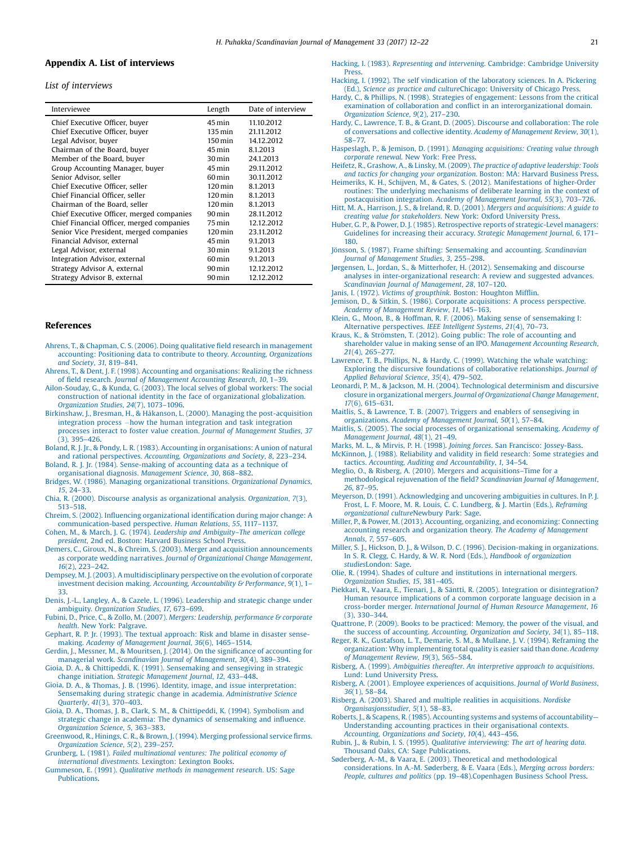## <span id="page-9-0"></span>Appendix A. List of interviews

#### List of interviews

| Interviewee                               | Length               | Date of interview |
|-------------------------------------------|----------------------|-------------------|
| Chief Executive Officer, buyer            | $45 \,\mathrm{min}$  | 11.10.2012        |
| Chief Executive Officer, buyer            | 135 min              | 21.11.2012        |
| Legal Advisor, buyer                      | 150 min              | 14.12.2012        |
| Chairman of the Board, buyer              | $45 \,\mathrm{min}$  | 8.1.2013          |
| Member of the Board, buyer                | $30 \,\mathrm{min}$  | 24.1.2013         |
| Group Accounting Manager, buyer           | $45 \,\mathrm{min}$  | 29.11.2012        |
| Senior Advisor, seller                    | 60 min               | 30.11.2012        |
| Chief Executive Officer, seller           | $120 \,\mathrm{min}$ | 8.1.2013          |
| Chief Financial Officer, seller           | $120 \,\mathrm{min}$ | 8.1.2013          |
| Chairman of the Board, seller             | $120 \,\mathrm{min}$ | 8.1.2013          |
| Chief Executive Officer, merged companies | $90 \,\mathrm{min}$  | 28.11.2012        |
| Chief Financial Officer, merged companies | 75 min               | 12.12.2012        |
| Senior Vice President, merged companies   | $120 \,\mathrm{min}$ | 23.11.2012        |
| Financial Advisor, external               | $45 \,\mathrm{min}$  | 9.1.2013          |
| Legal Advisor, external                   | $30 \,\mathrm{min}$  | 9.1.2013          |
| Integration Advisor, external             | $60 \,\mathrm{min}$  | 9.1.2013          |
| Strategy Advisor A, external              | $90 \,\mathrm{min}$  | 12.12.2012        |
| Strategy Advisor B, external              | 90 min               | 12.12.2012        |

#### References

- Ahrens, T., & Chapman, C. S. (2006). Doing qualitative field research in [management](http://refhub.elsevier.com/S0956-5221(16)30034-3/sbref0005) accounting: Positioning data to contribute to theory. Accounting, [Organizations](http://refhub.elsevier.com/S0956-5221(16)30034-3/sbref0005) and [Society](http://refhub.elsevier.com/S0956-5221(16)30034-3/sbref0005), 31, 819–841.
- Ahrens, T., & Dent, J. F. (1998). Accounting and [organisations:](http://refhub.elsevier.com/S0956-5221(16)30034-3/sbref0010) Realizing the richness of field research. Journal of [Management](http://refhub.elsevier.com/S0956-5221(16)30034-3/sbref0010) Accounting Research, 10, 1–39.
- [Ailon-Souday,](http://refhub.elsevier.com/S0956-5221(16)30034-3/sbref0015) G., & Kunda, G. (2003). The local selves of global workers: The social construction of national identity in the face of [organizational](http://refhub.elsevier.com/S0956-5221(16)30034-3/sbref0015) globalization. [Organization](http://refhub.elsevier.com/S0956-5221(16)30034-3/sbref0015) Studies, 24(7), 1073–1096.
- Birkinshaw, J., Bresman, H., & Håkanson, L. (2000). Managing the [post-acquisition](http://refhub.elsevier.com/S0956-5221(16)30034-3/sbref0020) [integration](http://refhub.elsevier.com/S0956-5221(16)30034-3/sbref0020) process -how the human integration and task integration processes interact to foster value creation. Journal of [Management](http://refhub.elsevier.com/S0956-5221(16)30034-3/sbref0020) Studies, 37 (3), 395–[426.](http://refhub.elsevier.com/S0956-5221(16)30034-3/sbref0020)
- Boland, R. J. Jr., & Pondy, L. R. (1983). Accounting in [organisations:](http://refhub.elsevier.com/S0956-5221(16)30034-3/sbref0025) A union of natural and rational perspectives. Accounting, [Organizations](http://refhub.elsevier.com/S0956-5221(16)30034-3/sbref0025) and Society, 8, 223–234.
- Boland, R. J. Jr. (1984). [Sense-making](http://refhub.elsevier.com/S0956-5221(16)30034-3/sbref0030) of accounting data as a technique of [organisational](http://refhub.elsevier.com/S0956-5221(16)30034-3/sbref0030) diagnosis. Management Science, 30, 868–882.
- Bridges, W. (1986). Managing [organizational](http://refhub.elsevier.com/S0956-5221(16)30034-3/sbref0035) transitions. Organizational Dynamics, 15, [24](http://refhub.elsevier.com/S0956-5221(16)30034-3/sbref0035)–33.
- Chia, R. (2000). Discourse analysis as [organizational](http://refhub.elsevier.com/S0956-5221(16)30034-3/sbref0040) analysis. Organization, 7(3), 513–[518.](http://refhub.elsevier.com/S0956-5221(16)30034-3/sbref0040)
- Chreim, S. (2002). Influencing [organizational](http://refhub.elsevier.com/S0956-5221(16)30034-3/sbref0045) identification during major change: A [communication-based](http://refhub.elsevier.com/S0956-5221(16)30034-3/sbref0045) perspective. Human Relations, 55, 1117–1137.
- Cohen, M., & March, J. G. (1974). Leadership and [Ambiguity–The](http://refhub.elsevier.com/S0956-5221(16)30034-3/sbref0050) american college [president](http://refhub.elsevier.com/S0956-5221(16)30034-3/sbref0050), 2nd ed. Boston: Harvard Business School Press.
- Demers, C., Giroux, N., & Chreim, S. (2003). Merger and acquisition [announcements](http://refhub.elsevier.com/S0956-5221(16)30034-3/sbref0055) as corporate wedding narratives. Journal of [Organizational](http://refhub.elsevier.com/S0956-5221(16)30034-3/sbref0055) Change Management, 16(2), 223–[242.](http://refhub.elsevier.com/S0956-5221(16)30034-3/sbref0055)
- Dempsey, M. J. (2003). A [multidisciplinary](http://refhub.elsevier.com/S0956-5221(16)30034-3/sbref0060) perspective on the evolution of corporate investment decision making. Accounting, [Accountability](http://refhub.elsevier.com/S0956-5221(16)30034-3/sbref0060) & Performance,  $9(1)$ , 1-[33](http://refhub.elsevier.com/S0956-5221(16)30034-3/sbref0060).
- Denis, J.-L., Langley, A., & Cazele, L. (1996). [Leadership](http://refhub.elsevier.com/S0956-5221(16)30034-3/sbref0065) and strategic change under ambiguity. [Organization](http://refhub.elsevier.com/S0956-5221(16)30034-3/sbref0065) Studies, 17, 673–699.
- Fubini, D., Price, C., & Zollo, M. (2007). Mergers: Leadership, [performance](http://refhub.elsevier.com/S0956-5221(16)30034-3/sbref0070) & corporate health. New York: [Palgrave.](http://refhub.elsevier.com/S0956-5221(16)30034-3/sbref0070)
- Gephart, R. P. Jr. (1993). The textual [approach:](http://refhub.elsevier.com/S0956-5221(16)30034-3/sbref0075) Risk and blame in disaster sense-
- making. Academy of [Management](http://refhub.elsevier.com/S0956-5221(16)30034-3/sbref0075) Journal, 36(6), 1465–1514. Gerdin, J., Messner, M., & Mouritsen, J. (2014). On the significance of [accounting](http://refhub.elsevier.com/S0956-5221(16)30034-3/sbref0080) for managerial work. [Scandinavian](http://refhub.elsevier.com/S0956-5221(16)30034-3/sbref0080) Journal of Management, 30(4), 389–394.
- Gioia, D. A., & Chittipeddi, K. (1991). [Sensemaking](http://refhub.elsevier.com/S0956-5221(16)30034-3/sbref0085) and sensegiving in strategic change initiation. Strategic [Management](http://refhub.elsevier.com/S0956-5221(16)30034-3/sbref0085) Journal, 12, 433–448.
- Gioia, D. A., & Thomas, J. B. (1996). Identity, image, and issue [interpretation:](http://refhub.elsevier.com/S0956-5221(16)30034-3/sbref0090) Sensemaking during strategic change in academia. [Administrative](http://refhub.elsevier.com/S0956-5221(16)30034-3/sbref0090) Science [Quarterly](http://refhub.elsevier.com/S0956-5221(16)30034-3/sbref0090), 41(3), 370–403.
- Gioia, D. A., Thomas, J. B., Clark, S. M., & [Chittipeddi,](http://refhub.elsevier.com/S0956-5221(16)30034-3/sbref0095) K. (1994). Symbolism and strategic change in academia: The dynamics of [sensemaking](http://refhub.elsevier.com/S0956-5221(16)30034-3/sbref0095) and influence. [Organization](http://refhub.elsevier.com/S0956-5221(16)30034-3/sbref0095) Science, 5, 363–383.
- Greenwood, R., Hinings, C. R., & Brown, J. (1994). Merging [professional](http://refhub.elsevier.com/S0956-5221(16)30034-3/sbref0100) service firms. [Organization](http://refhub.elsevier.com/S0956-5221(16)30034-3/sbref0100) Science, 5(2), 239–257.
- Grunberg, L. (1981). Failed [multinational](http://refhub.elsevier.com/S0956-5221(16)30034-3/sbref0105) ventures: The political economy of [international](http://refhub.elsevier.com/S0956-5221(16)30034-3/sbref0105) divestments. Lexington: Lexington Books.
- Gummeson, E. (1991). Qualitative methods in [management](http://refhub.elsevier.com/S0956-5221(16)30034-3/sbref0110) research. US: Sage [Publications.](http://refhub.elsevier.com/S0956-5221(16)30034-3/sbref0110)
- Hacking, I. (1983). [Representing](http://refhub.elsevier.com/S0956-5221(16)30034-3/sbref0115) and intervening. Cambridge: Cambridge University **[Press](http://refhub.elsevier.com/S0956-5221(16)30034-3/sbref0115)**
- Hacking, I. (1992). The self [vindication](http://refhub.elsevier.com/S0956-5221(16)30034-3/sbref0120) of the laboratory sciences. In A. Pickering (Ed.), Science as practice and cultureChicago: [University](http://refhub.elsevier.com/S0956-5221(16)30034-3/sbref0120) of Chicago Press.
- Hardy, C., & Phillips, N. (1998). Strategies of [engagement:](http://refhub.elsevier.com/S0956-5221(16)30034-3/sbref0125) Lessons from the critical examination of collaboration and conflict in an [interorganizational](http://refhub.elsevier.com/S0956-5221(16)30034-3/sbref0125) domain. [Organization](http://refhub.elsevier.com/S0956-5221(16)30034-3/sbref0125) Science, 9(2), 217–230.
- Hardy, C., Lawrence, T. B., & Grant, D. (2005). Discourse and [collaboration:](http://refhub.elsevier.com/S0956-5221(16)30034-3/sbref0130) The role of [conversations](http://refhub.elsevier.com/S0956-5221(16)30034-3/sbref0130) and collective identity. Academy of Management Review, 30(1), 58–[77.](http://refhub.elsevier.com/S0956-5221(16)30034-3/sbref0130)
- Haspeslagh, P., & Jemison, D. (1991). Managing [acquisitions:](http://refhub.elsevier.com/S0956-5221(16)30034-3/sbref0135) Creating value through [corporate](http://refhub.elsevier.com/S0956-5221(16)30034-3/sbref0135) renewal. New York: Free Press.
- Heifetz, R., Grashow, A., & Linsky, M. (2009). The practice of adaptive [leadership:](http://refhub.elsevier.com/S0956-5221(16)30034-3/sbref0140) Tools and tactics for changing your [organization](http://refhub.elsevier.com/S0956-5221(16)30034-3/sbref0140). Boston: MA: Harvard Business Press.
- Heimeriks, K. H., Schijven, M., & Gates, S. (2012). [Manifestations](http://refhub.elsevier.com/S0956-5221(16)30034-3/sbref0145) of higher-Order routines: The underlying [mechanisms](http://refhub.elsevier.com/S0956-5221(16)30034-3/sbref0145) of deliberate learning in the context of [postacquisition](http://refhub.elsevier.com/S0956-5221(16)30034-3/sbref0145) integration. Academy of Management Journal, 55(3), 703–726.
- Hitt, M. A., Harrison, J. S., & Ireland, R. D. (2001). Mergers and [acquisitions:](http://refhub.elsevier.com/S0956-5221(16)30034-3/sbref0150) A guide to creating value for [stakeholders](http://refhub.elsevier.com/S0956-5221(16)30034-3/sbref0150). New York: Oxford University Press.
- Huber, G. P., & Power, D. J. (1985). Retrospective reports of [strategic-Level](http://refhub.elsevier.com/S0956-5221(16)30034-3/sbref0155) managers: Guidelines for increasing their accuracy. Strategic [Management](http://refhub.elsevier.com/S0956-5221(16)30034-3/sbref0155) Journal, 6, 171– [180](http://refhub.elsevier.com/S0956-5221(16)30034-3/sbref0155).
- Jönsson, S. (1987). Frame shifting: [Sensemaking](http://refhub.elsevier.com/S0956-5221(16)30034-3/sbref0160) and accounting. Scandinavian Journal of [Management](http://refhub.elsevier.com/S0956-5221(16)30034-3/sbref0160) Studies, 3, 255–298.
- Jørgensen, L., Jordan, S., & Mitterhofer, H. (2012). [Sensemaking](http://refhub.elsevier.com/S0956-5221(16)30034-3/sbref0165) and discourse analyses in [inter-organizational](http://refhub.elsevier.com/S0956-5221(16)30034-3/sbref0165) research: A review and suggested advances. [Scandinavian](http://refhub.elsevier.com/S0956-5221(16)30034-3/sbref0165) Journal of Management, 28, 107–120.
- Janis, I. (1972). Victims of [groupthink](http://refhub.elsevier.com/S0956-5221(16)30034-3/sbref0170). Boston: Houghton Mifflin.
- Jemison, D., & Sitkin, S. (1986). Corporate [acquisitions:](http://refhub.elsevier.com/S0956-5221(16)30034-3/sbref0175) A process perspective. Academy of [Management](http://refhub.elsevier.com/S0956-5221(16)30034-3/sbref0175) Review, 11, 145–163.
- Klein, G., Moon, B., & Hoffman, R. F. (2006). Making sense of [sensemaking](http://refhub.elsevier.com/S0956-5221(16)30034-3/sbref0180) I: Alternative [perspectives.](http://refhub.elsevier.com/S0956-5221(16)30034-3/sbref0180) IEEE Intelligent Systems, 21(4), 70–73.
- Kraus, K., & Strömsten, T. (2012). Going public: The role of [accounting](http://refhub.elsevier.com/S0956-5221(16)30034-3/sbref0185) and shareholder value in making sense of an IPO. [Management](http://refhub.elsevier.com/S0956-5221(16)30034-3/sbref0185) Accounting Research, 21(4), 265–[277.](http://refhub.elsevier.com/S0956-5221(16)30034-3/sbref0185)
- Lawrence, T. B., Phillips, N., & Hardy, C. (1999). Watching the whale [watching:](http://refhub.elsevier.com/S0956-5221(16)30034-3/sbref0190) Exploring the discursive foundations of collaborative [relationships.](http://refhub.elsevier.com/S0956-5221(16)30034-3/sbref0190) Journal of Applied [Behavioral](http://refhub.elsevier.com/S0956-5221(16)30034-3/sbref0190) Science, 35(4), 479–502.
- Leonardi, P. M., & Jackson, M. H. (2004). [Technological](http://refhub.elsevier.com/S0956-5221(16)30034-3/sbref0195) determinism and discursive closure in [organizational](http://refhub.elsevier.com/S0956-5221(16)30034-3/sbref0195) mergers. Journal of Organizational Change Management, 17(6), 615–[631.](http://refhub.elsevier.com/S0956-5221(16)30034-3/sbref0195)
- Maitlis, S., & Lawrence, T. B. (2007). Triggers and enablers of [sensegiving](http://refhub.elsevier.com/S0956-5221(16)30034-3/sbref0200) in [organizations.](http://refhub.elsevier.com/S0956-5221(16)30034-3/sbref0200) Academy of Management Journal, 50(1), 57–84.
- Maitlis, S. (2005). The social processes of [organizational](http://refhub.elsevier.com/S0956-5221(16)30034-3/sbref0205) sensemaking. Academy of [Management](http://refhub.elsevier.com/S0956-5221(16)30034-3/sbref0205) Journal,  $48(1)$ , 21-49.
- Marks, M. L., & Mirvis, P. H. (1998). Joining forces. San Francisco: [Jossey-Bass](http://refhub.elsevier.com/S0956-5221(16)30034-3/sbref0210).
- [McKinnon,](http://refhub.elsevier.com/S0956-5221(16)30034-3/sbref0215) J. (1988). Reliability and validity in field research: Some strategies and tactics. Accounting, Auditing and [Accountability](http://refhub.elsevier.com/S0956-5221(16)30034-3/sbref0215), 1, 34–54.
- Meglio, O., & Risberg, A. (2010). Mergers and [acquisitions](http://refhub.elsevier.com/S0956-5221(16)30034-3/sbref0220)–Time for a [methodological](http://refhub.elsevier.com/S0956-5221(16)30034-3/sbref0220) rejuvenation of the field? Scandinavian Journal of Management, 26, 87–[95.](http://refhub.elsevier.com/S0956-5221(16)30034-3/sbref0220)
- Meyerson, D. (1991). [Acknowledging](http://refhub.elsevier.com/S0956-5221(16)30034-3/sbref0225) and uncovering ambiguities in cultures. In P. J. Frost, L. F. Moore, M. R. Louis, C. C. [Lundberg,](http://refhub.elsevier.com/S0956-5221(16)30034-3/sbref0225) & J. Martin (Eds.), Reframing [organizational](http://refhub.elsevier.com/S0956-5221(16)30034-3/sbref0225) cultureNewbury Park: Sage.
- Miller, P., & Power, M. (2013). Accounting, organizing, and [economizing:](http://refhub.elsevier.com/S0956-5221(16)30034-3/sbref0230) Connecting accounting research and [organization](http://refhub.elsevier.com/S0956-5221(16)30034-3/sbref0230) theory. The Academy of Management [Annals](http://refhub.elsevier.com/S0956-5221(16)30034-3/sbref0230), 7, 557–605.
- Miller, S. J., Hickson, D. J., & Wilson, D. C. (1996). [Decision-making](http://refhub.elsevier.com/S0956-5221(16)30034-3/sbref0235) in organizations. In S. R. Clegg, C. Hardy, & W. R. Nord (Eds.), Handbook of [organization](http://refhub.elsevier.com/S0956-5221(16)30034-3/sbref0235) studies[London:](http://refhub.elsevier.com/S0956-5221(16)30034-3/sbref0235) Sage.
- Olie, R. (1994). Shades of culture and institutions in [international](http://refhub.elsevier.com/S0956-5221(16)30034-3/sbref0240) mergers. [Organization](http://refhub.elsevier.com/S0956-5221(16)30034-3/sbref0240) Studies, 15, 381–405.
- Piekkari, R., Vaara, E., Tienari, J., & Säntti, R. (2005). Integration or [disintegration?](http://refhub.elsevier.com/S0956-5221(16)30034-3/sbref0245) Human resource [implications](http://refhub.elsevier.com/S0956-5221(16)30034-3/sbref0245) of a common corporate language decision in a [cross-border](http://refhub.elsevier.com/S0956-5221(16)30034-3/sbref0245) merger. International Journal of Human Resource Management, 16 (3), 330–[344.](http://refhub.elsevier.com/S0956-5221(16)30034-3/sbref0245)
- [Quattrone,](http://refhub.elsevier.com/S0956-5221(16)30034-3/sbref0250) P. (2009). Books to be practiced: Memory, the power of the visual, and the success of accounting. Accounting, [Organization](http://refhub.elsevier.com/S0956-5221(16)30034-3/sbref0250) and Society, 34(1), 85–118.
- Reger, R. K., [Gustafson,](http://refhub.elsevier.com/S0956-5221(16)30034-3/sbref0255) L. T., Demarie, S. M., & Mullane, J. V. (1994). Reframing the organization: Why [implementing](http://refhub.elsevier.com/S0956-5221(16)30034-3/sbref0255) total quality is easier said than done. Academy of [Management](http://refhub.elsevier.com/S0956-5221(16)30034-3/sbref0255) Review, 19(3), 565–584.
- Risberg, A. (1999). Ambiguities thereafter. An interpretive approach to [acquisitions](http://refhub.elsevier.com/S0956-5221(16)30034-3/sbref0260). Lund: Lund [University](http://refhub.elsevier.com/S0956-5221(16)30034-3/sbref0260) Press.
- Risberg, A. (2001). Employee experiences of [acquisitions.](http://refhub.elsevier.com/S0956-5221(16)30034-3/sbref0265) Journal of World Business, 36[\(1\),](http://refhub.elsevier.com/S0956-5221(16)30034-3/sbref0265) 58–84.
- Risberg, A. (2003). Shared and multiple realities in [acquisitions.](http://refhub.elsevier.com/S0956-5221(16)30034-3/sbref0270) Nordiske [Organisasjonsstudier](http://refhub.elsevier.com/S0956-5221(16)30034-3/sbref0270), 5(1), 58–83.
- Roberts, J., & Scapens, R. (1985). Accounting systems and systems of [accountability](http://refhub.elsevier.com/S0956-5221(16)30034-3/sbref0275) [Understanding](http://refhub.elsevier.com/S0956-5221(16)30034-3/sbref0275) accounting practices in their organisational contexts. Accounting, [Organizations](http://refhub.elsevier.com/S0956-5221(16)30034-3/sbref0275) and Society, 10(4), 443–456.
- Rubin, J., & Rubin, I. S. (1995). Qualitative [interviewing:](http://refhub.elsevier.com/S0956-5221(16)30034-3/sbref0280) The art of hearing data. Thousand Oaks, CA: Sage [Publications.](http://refhub.elsevier.com/S0956-5221(16)30034-3/sbref0280)

Søderberg, A.-M., & Vaara, E. (2003). Theoretical and [methodological](http://refhub.elsevier.com/S0956-5221(16)30034-3/sbref0285) [considerations.](http://refhub.elsevier.com/S0956-5221(16)30034-3/sbref0285) In A.-M. Søderberg, & E. Vaara (Eds.), Merging across borders: People, cultures and politics (pp. 19–[48\).Copenhagen](http://refhub.elsevier.com/S0956-5221(16)30034-3/sbref0285) Business School Press.